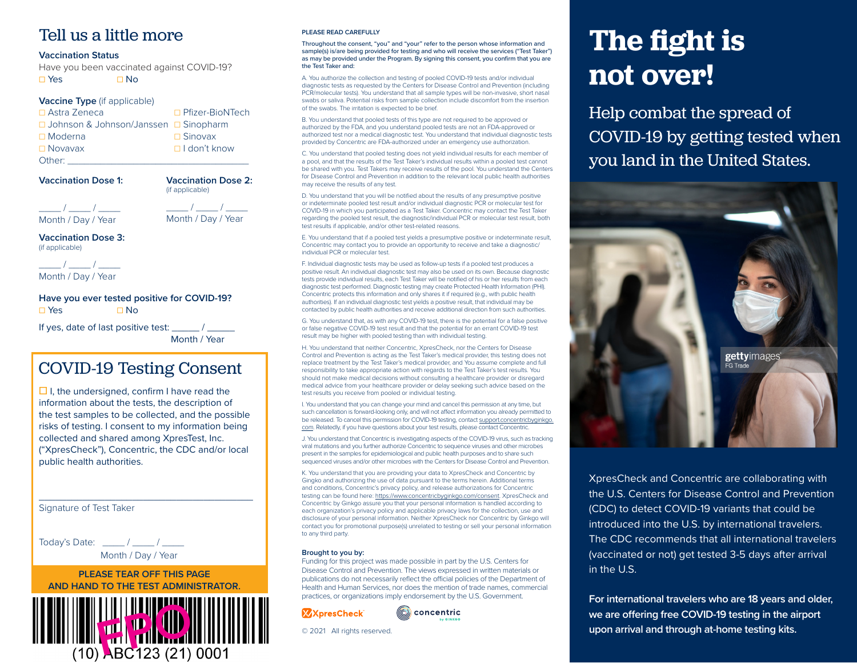### Tell us a little more

### **Vaccination Status**

Have you been vaccinated against COVID-19? ☐ Yes ☐ No

### **Vaccine Type** (if applicable)

| $\Box$ Astra Zeneca                     | □ Pfizer-BioNTech   |
|-----------------------------------------|---------------------|
| □ Johnson & Johnson/Janssen □ Sinopharm |                     |
| $\Box$ Moderna                          | $\Box$ Sinovax      |
| $\Box$ Novavax                          | $\Box$ I don't know |
| Other:                                  |                     |

**Vaccination Dose 1:**

**Vaccination Dose 2:** (if applicable)

 $\_$  /  $\_$  /  $\_$ Month / Day / Year

 $\frac{1}{\sqrt{2\pi}}$  /  $\frac{1}{\sqrt{2\pi}}$ Month / Day / Year

**Vaccination Dose 3:** (if applicable)

 $\frac{1}{2}$  /  $\frac{1}{2}$ Month / Day / Year

### **Have you ever tested positive for COVID-19?** ☐ Yes ☐ No

If yes, date of last positive test:  $\overline{\phantom{a}}$  /

Month / Year

## COVID-19 Testing Consent

**□** I, the undersigned, confirm I have read the information about the tests, the description of the test samples to be collected, and the possible risks of testing. I consent to my information being collected and shared among XpresTest, Inc. ("XpresCheck"), Concentric, the CDC and/or local public health authorities.

\_\_\_\_\_\_\_\_\_\_\_\_\_\_\_\_\_\_\_\_\_\_\_\_\_\_\_\_\_\_\_\_\_\_\_\_\_\_\_

Signature of Test Taker

Today's Date: \_\_\_\_ / \_\_\_\_ / \_\_\_\_ Month / Day / Year

**PLEASE TEAR OFF THIS PAGE AND HAND TO THE TEST ADMINISTRATOR.**



#### **PLEASE READ CAREFULLY**

Throughout the consent, "you" and "your" refer to the person whose information and sample(s) is/are being provided for testing and who will receive the services ("Test Taker") as may be provided under the Program. By signing this consent, you confirm that you are the Test Taker and:

A. You authorize the collection and testing of pooled COVID-19 tests and/or individual diagnostic tests as requested by the Centers for Disease Control and Prevention (including PCR/molecular tests). You understand that all sample types will be non-invasive, short nasal swabs or saliva. Potential risks from sample collection include discomfort from the insertion of the swabs. The irritation is expected to be brief.

B. You understand that pooled tests of this type are not required to be approved or authorized by the FDA, and you understand pooled tests are not an FDA-approved or authorized test nor a medical diagnostic test. You understand that individual diagnostic tests provided by Concentric are FDA-authorized under an emergency use authorization.

C. You understand that pooled testing does not yield individual results for each member of a pool, and that the results of the Test Taker's individual results within a pooled test cannot be shared with you. Test Takers may receive results of the pool. You understand the Centers for Disease Control and Prevention in addition to the relevant local public health authorities may receive the results of any test.

D. You understand that you will be notified about the results of any presumptive positive or indeterminate pooled test result and/or individual diagnostic PCR or molecular test for COVID-19 in which you participated as a Test Taker. Concentric may contact the Test Taker regarding the pooled test result, the diagnostic/individual PCR or molecular test result, both test results if applicable, and/or other test-related reasons.

E. You understand that if a pooled test yields a presumptive positive or indeterminate result, Concentric may contact you to provide an opportunity to receive and take a diagnostic/ individual PCR or molecular test.

F. Individual diagnostic tests may be used as follow-up tests if a pooled test produces a positive result. An individual diagnostic test may also be used on its own. Because diagnostic tests provide individual results, each Test Taker will be notified of his or her results from each diagnostic test performed. Diagnostic testing may create Protected Health Information (PHI). Concentric protects this information and only shares it if required (e.g., with public health authorities). If an individual diagnostic test yields a positive result, that individual may be contacted by public health authorities and receive additional direction from such authorities.

G. You understand that, as with any COVID-19 test, there is the potential for a false positive or false negative COVID-19 test result and that the potential for an errant COVID-19 test result may be higher with pooled testing than with individual testing.

H. You understand that neither Concentric, XpresCheck, nor the Centers for Disease Control and Prevention is acting as the Test Taker's medical provider, this testing does not replace treatment by the Test Taker's medical provider, and You assume complete and full responsibility to take appropriate action with regards to the Test Taker's test results. You should not make medical decisions without consulting a healthcare provider or disregard medical advice from your healthcare provider or delay seeking such advice based on the test results you receive from pooled or individual testing.

I. You understand that you can change your mind and cancel this permission at any time, but such cancellation is forward-looking only, and will not affect information you already permitted to be released. To cancel this permission for COVID-19 testing, contact support.concentricbyginkgo. com. Relatedly, if you have questions about your test results, please contact Concentric.

J. You understand that Concentric is investigating aspects of the COVID-19 virus, such as tracking viral mutations and you further authorize Concentric to sequence viruses and other microbes present in the samples for epidemiological and public health purposes and to share such sequenced viruses and/or other microbes with the Centers for Disease Control and Prevention.

K. You understand that you are providing your data to XpresCheck and Concentric by Gingko and authorizing the use of data pursuant to the terms herein. Additional terms and conditions, Concentric's privacy policy, and release authorizations for Concentric testing can be found here: https://www.concentricbyginkgo.com/consent. XpresCheck and Concentric by Ginkgo assure you that your personal information is handled according to each organization's privacy policy and applicable privacy laws for the collection, use and disclosure of your personal information. Neither XpresCheck nor Concentric by Ginkgo will contact you for promotional purpose(s) unrelated to testing or sell your personal information to any third party.

#### **Brought to you by:**

Funding for this project was made possible in part by the U.S. Centers for Disease Control and Prevention. The views expressed in written materials or publications do not necessarily reflect the official policies of the Department of Health and Human Services, nor does the mention of trade names, commercial practices, or organizations imply endorsement by the U.S. Government.





© 2021 All rights reserved.

# **The fight is not over!**

Help combat the spread of COVID-19 by getting tested when you land in the United States.



XpresCheck and Concentric are collaborating with the U.S. Centers for Disease Control and Prevention (CDC) to detect COVID-19 variants that could be introduced into the U.S. by international travelers. The CDC recommends that all international travelers (vaccinated or not) get tested 3-5 days after arrival in the U.S.

**For international travelers who are 18 years and older, we are offering free COVID-19 testing in the airport upon arrival and through at-home testing kits.**